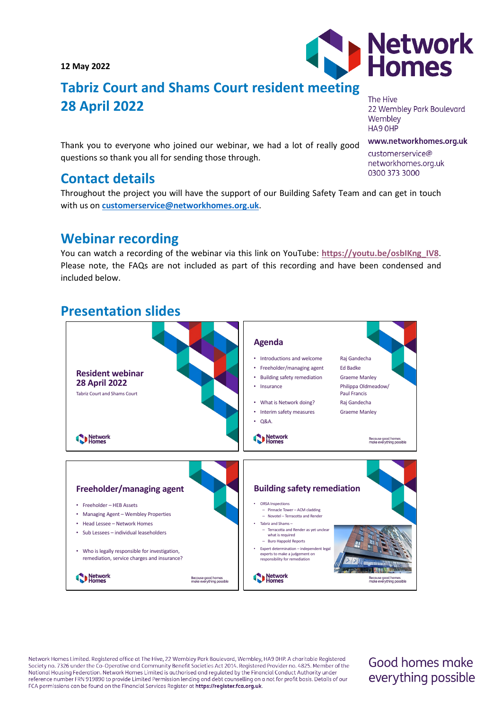**12 May 2022**

# **Tabriz Court and Shams Court resident meeting 28 April 2022**

The Hive 22 Wembley Park Boulevard Wembley HA9 OHP

www.networkhomes.org.uk

customerservice@ networkhomes.org.uk 0300 373 3000

Thank you to everyone who joined our webinar, we had a lot of really good questions so thank you all for sending those through.

## **Contact details**

Throughout the project you will have the support of our Building Safety Team and can get in touch with us on **[customerservice@networkhomes.org.uk](mailto:customerservice@networkhomes.org.uk)**.

## **Webinar recording**

You can watch a recording of the webinar via this link on YouTube: **[https://youtu.be/osbIKng\\_IV8](https://youtu.be/osbIKng_IV8)**. Please note, the FAQs are not included as part of this recording and have been condensed and included below.

## **Presentation slides**



Network Homes Limited. Registered office at The Hive, 22 Wembley Park Boulevard, Wembley, HA9 OHP. A charitable Registered Society no. 7326 under the Co-Operative and Community Benefit Societies Act 2014. Registered Provider no. 4825. Member of the National Housing Federation. Network Homes Limited is authorised and regulated by the Financial Conduct Authority under reference number FRN 919890 to provide Limited Permission lending and debt counselling on a not for profit basis. Details of our FCA permissions can be found on the Financial Services Register at https://register.fca.org.uk.

## Good homes make everything possible

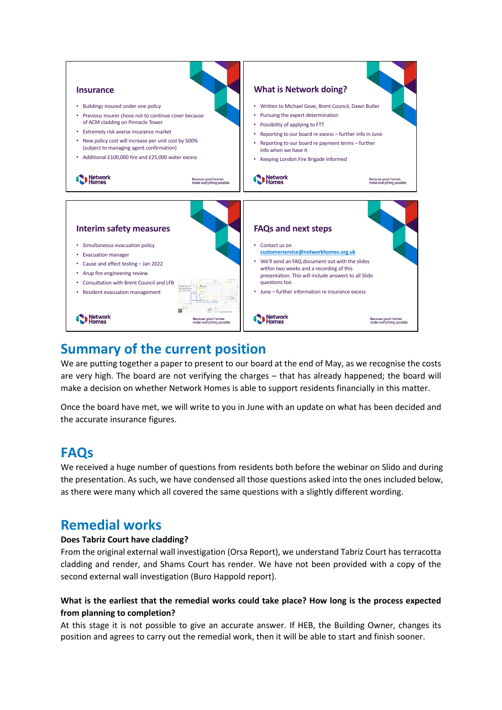

## **Summary of the current position**

We are putting together a paper to present to our board at the end of May, as we recognise the costs are very high. The board are not verifying the charges – that has already happened; the board will make a decision on whether Network Homes is able to support residents financially in this matter.

Once the board have met, we will write to you in June with an update on what has been decided and the accurate insurance figures.

## **FAQs**

We received a huge number of questions from residents both before the webinar on Slido and during the presentation. As such, we have condensed all those questions asked into the ones included below, as there were many which all covered the same questions with a slightly different wording.

## **Remedial works**

### **Does Tabriz Court have cladding?**

From the original external wall investigation (Orsa Report), we understand Tabriz Court has terracotta cladding and render, and Shams Court has render. We have not been provided with a copy of the second external wall investigation (Buro Happold report).

## **What is the earliest that the remedial works could take place? How long is the process expected from planning to completion?**

At this stage it is not possible to give an accurate answer. If HEB, the Building Owner, changes its position and agrees to carry out the remedial work, then it will be able to start and finish sooner.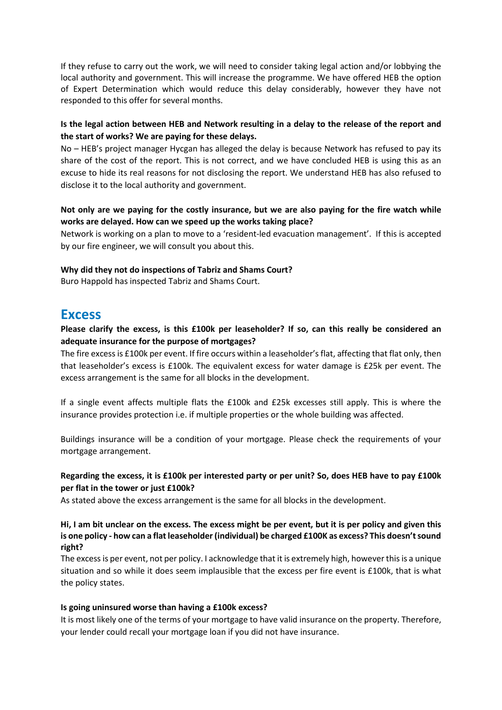If they refuse to carry out the work, we will need to consider taking legal action and/or lobbying the local authority and government. This will increase the programme. We have offered HEB the option of Expert Determination which would reduce this delay considerably, however they have not responded to this offer for several months.

## **Is the legal action between HEB and Network resulting in a delay to the release of the report and the start of works? We are paying for these delays.**

No – HEB's project manager Hycgan has alleged the delay is because Network has refused to pay its share of the cost of the report. This is not correct, and we have concluded HEB is using this as an excuse to hide its real reasons for not disclosing the report. We understand HEB has also refused to disclose it to the local authority and government.

## **Not only are we paying for the costly insurance, but we are also paying for the fire watch while works are delayed. How can we speed up the works taking place?**

Network is working on a plan to move to a 'resident-led evacuation management'. If this is accepted by our fire engineer, we will consult you about this.

#### **Why did they not do inspections of Tabriz and Shams Court?**

Buro Happold has inspected Tabriz and Shams Court.

## **Excess**

## **Please clarify the excess, is this £100k per leaseholder? If so, can this really be considered an adequate insurance for the purpose of mortgages?**

The fire excess is £100k per event. If fire occurs within a leaseholder's flat, affecting that flat only, then that leaseholder's excess is £100k. The equivalent excess for water damage is £25k per event. The excess arrangement is the same for all blocks in the development.

If a single event affects multiple flats the £100k and £25k excesses still apply. This is where the insurance provides protection i.e. if multiple properties or the whole building was affected.

Buildings insurance will be a condition of your mortgage. Please check the requirements of your mortgage arrangement.

### **Regarding the excess, it is £100k per interested party or per unit? So, does HEB have to pay £100k per flat in the tower or just £100k?**

As stated above the excess arrangement is the same for all blocks in the development.

#### **Hi, I am bit unclear on the excess. The excess might be per event, but it is per policy and given this is one policy - how can a flat leaseholder (individual) be charged £100K as excess? This doesn't sound right?**

The excess is per event, not per policy. I acknowledge that it is extremely high, however this is a unique situation and so while it does seem implausible that the excess per fire event is £100k, that is what the policy states.

#### **Is going uninsured worse than having a £100k excess?**

It is most likely one of the terms of your mortgage to have valid insurance on the property. Therefore, your lender could recall your mortgage loan if you did not have insurance.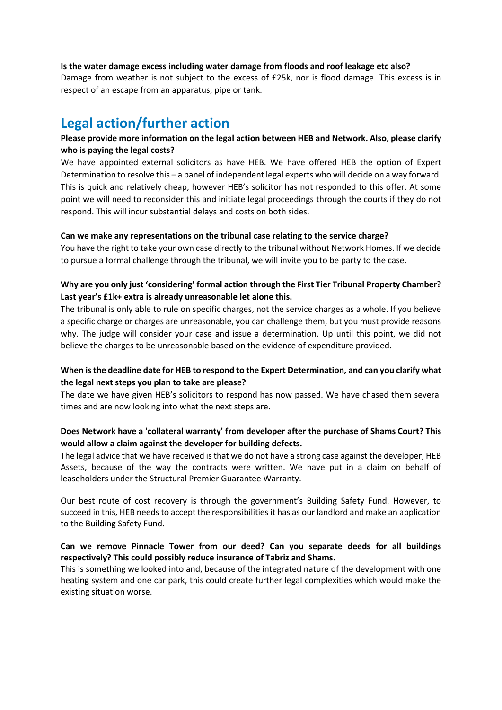#### **Is the water damage excess including water damage from floods and roof leakage etc also?**

Damage from weather is not subject to the excess of £25k, nor is flood damage. This excess is in respect of an escape from an apparatus, pipe or tank.

## **Legal action/further action**

## **Please provide more information on the legal action between HEB and Network. Also, please clarify who is paying the legal costs?**

We have appointed external solicitors as have HEB. We have offered HEB the option of Expert Determination to resolve this – a panel of independent legal experts who will decide on a way forward. This is quick and relatively cheap, however HEB's solicitor has not responded to this offer. At some point we will need to reconsider this and initiate legal proceedings through the courts if they do not respond. This will incur substantial delays and costs on both sides.

#### **Can we make any representations on the tribunal case relating to the service charge?**

You have the right to take your own case directly to the tribunal without Network Homes. If we decide to pursue a formal challenge through the tribunal, we will invite you to be party to the case.

### **Why are you only just 'considering' formal action through the First Tier Tribunal Property Chamber? Last year's £1k+ extra is already unreasonable let alone this.**

The tribunal is only able to rule on specific charges, not the service charges as a whole. If you believe a specific charge or charges are unreasonable, you can challenge them, but you must provide reasons why. The judge will consider your case and issue a determination. Up until this point, we did not believe the charges to be unreasonable based on the evidence of expenditure provided.

### **When is the deadline date for HEB to respond to the Expert Determination, and can you clarify what the legal next steps you plan to take are please?**

The date we have given HEB's solicitors to respond has now passed. We have chased them several times and are now looking into what the next steps are.

### **Does Network have a 'collateral warranty' from developer after the purchase of Shams Court? This would allow a claim against the developer for building defects.**

The legal advice that we have received is that we do not have a strong case against the developer, HEB Assets, because of the way the contracts were written. We have put in a claim on behalf of leaseholders under the Structural Premier Guarantee Warranty.

Our best route of cost recovery is through the government's Building Safety Fund. However, to succeed in this, HEB needs to accept the responsibilities it has as our landlord and make an application to the Building Safety Fund.

#### **Can we remove Pinnacle Tower from our deed? Can you separate deeds for all buildings respectively? This could possibly reduce insurance of Tabriz and Shams.**

This is something we looked into and, because of the integrated nature of the development with one heating system and one car park, this could create further legal complexities which would make the existing situation worse.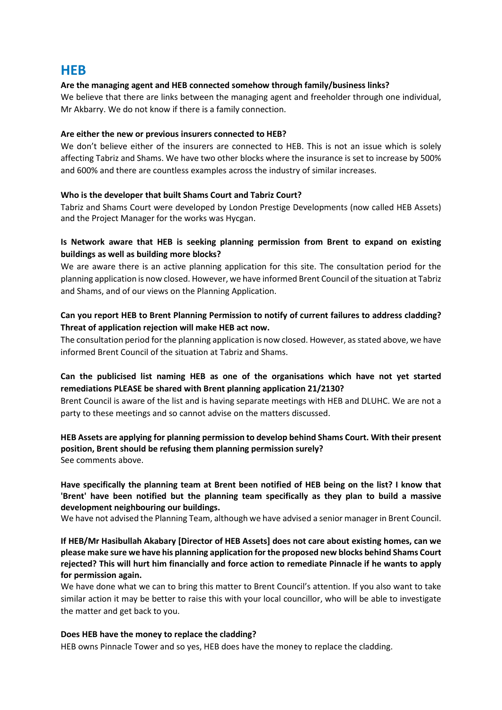## **HEB**

#### **Are the managing agent and HEB connected somehow through family/business links?**

We believe that there are links between the managing agent and freeholder through one individual, Mr Akbarry. We do not know if there is a family connection.

#### **Are either the new or previous insurers connected to HEB?**

We don't believe either of the insurers are connected to HEB. This is not an issue which is solely affecting Tabriz and Shams. We have two other blocks where the insurance is set to increase by 500% and 600% and there are countless examples across the industry of similar increases.

#### **Who is the developer that built Shams Court and Tabriz Court?**

Tabriz and Shams Court were developed by London Prestige Developments (now called HEB Assets) and the Project Manager for the works was Hycgan.

### **Is Network aware that HEB is seeking planning permission from Brent to expand on existing buildings as well as building more blocks?**

We are aware there is an active planning application for this site. The consultation period for the planning application is now closed. However, we have informed Brent Council of the situation at Tabriz and Shams, and of our views on the Planning Application.

## **Can you report HEB to Brent Planning Permission to notify of current failures to address cladding? Threat of application rejection will make HEB act now.**

The consultation period for the planning application is now closed. However, as stated above, we have informed Brent Council of the situation at Tabriz and Shams.

## **Can the publicised list naming HEB as one of the organisations which have not yet started remediations PLEASE be shared with Brent planning application 21/2130?**

Brent Council is aware of the list and is having separate meetings with HEB and DLUHC. We are not a party to these meetings and so cannot advise on the matters discussed.

### **HEB Assets are applying for planning permission to develop behind Shams Court. With their present position, Brent should be refusing them planning permission surely?** See comments above.

**Have specifically the planning team at Brent been notified of HEB being on the list? I know that 'Brent' have been notified but the planning team specifically as they plan to build a massive development neighbouring our buildings.** 

We have not advised the Planning Team, although we have advised a senior manager in Brent Council.

#### **If HEB/Mr Hasibullah Akabary [Director of HEB Assets] does not care about existing homes, can we please make sure we have his planning application for the proposed new blocks behind Shams Court rejected? This will hurt him financially and force action to remediate Pinnacle if he wants to apply for permission again.**

We have done what we can to bring this matter to Brent Council's attention. If you also want to take similar action it may be better to raise this with your local councillor, who will be able to investigate the matter and get back to you.

#### **Does HEB have the money to replace the cladding?**

HEB owns Pinnacle Tower and so yes, HEB does have the money to replace the cladding.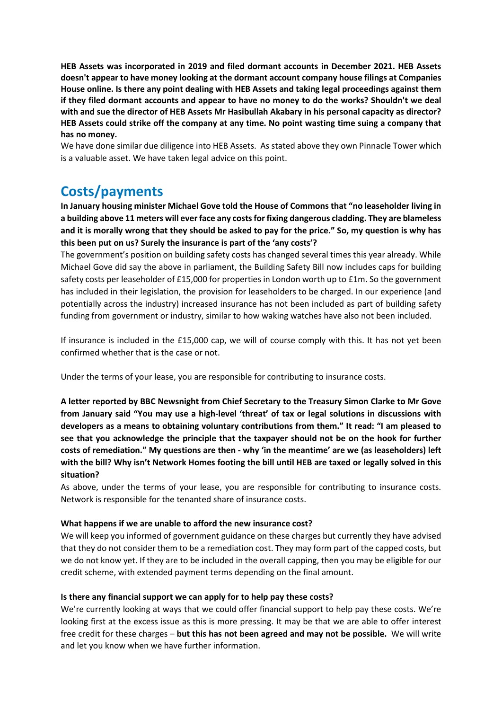**HEB Assets was incorporated in 2019 and filed dormant accounts in December 2021. HEB Assets doesn't appear to have money looking at the dormant account company house filings at Companies House online. Is there any point dealing with HEB Assets and taking legal proceedings against them if they filed dormant accounts and appear to have no money to do the works? Shouldn't we deal with and sue the director of HEB Assets Mr Hasibullah Akabary in his personal capacity as director? HEB Assets could strike off the company at any time. No point wasting time suing a company that has no money.**

We have done similar due diligence into HEB Assets. As stated above they own Pinnacle Tower which is a valuable asset. We have taken legal advice on this point.

## **Costs/payments**

**In January housing minister Michael Gove told the House of Commons that "no leaseholder living in a building above 11 meters will ever face any costs for fixing dangerous cladding. They are blameless and it is morally wrong that they should be asked to pay for the price." So, my question is why has this been put on us? Surely the insurance is part of the 'any costs'?**

The government's position on building safety costs has changed several times this year already. While Michael Gove did say the above in parliament, the Building Safety Bill now includes caps for building safety costs per leaseholder of £15,000 for properties in London worth up to £1m. So the government has included in their legislation, the provision for leaseholders to be charged. In our experience (and potentially across the industry) increased insurance has not been included as part of building safety funding from government or industry, similar to how waking watches have also not been included.

If insurance is included in the £15,000 cap, we will of course comply with this. It has not yet been confirmed whether that is the case or not.

Under the terms of your lease, you are responsible for contributing to insurance costs.

**A letter reported by BBC Newsnight from Chief Secretary to the Treasury Simon Clarke to Mr Gove from January said "You may use a high-level 'threat' of tax or legal solutions in discussions with developers as a means to obtaining voluntary contributions from them." It read: "I am pleased to see that you acknowledge the principle that the taxpayer should not be on the hook for further costs of remediation." My questions are then - why 'in the meantime' are we (as leaseholders) left with the bill? Why isn't Network Homes footing the bill until HEB are taxed or legally solved in this situation?**

As above, under the terms of your lease, you are responsible for contributing to insurance costs. Network is responsible for the tenanted share of insurance costs.

### **What happens if we are unable to afford the new insurance cost?**

We will keep you informed of government guidance on these charges but currently they have advised that they do not consider them to be a remediation cost. They may form part of the capped costs, but we do not know yet. If they are to be included in the overall capping, then you may be eligible for our credit scheme, with extended payment terms depending on the final amount.

### **Is there any financial support we can apply for to help pay these costs?**

We're currently looking at ways that we could offer financial support to help pay these costs. We're looking first at the excess issue as this is more pressing. It may be that we are able to offer interest free credit for these charges – **but this has not been agreed and may not be possible.** We will write and let you know when we have further information.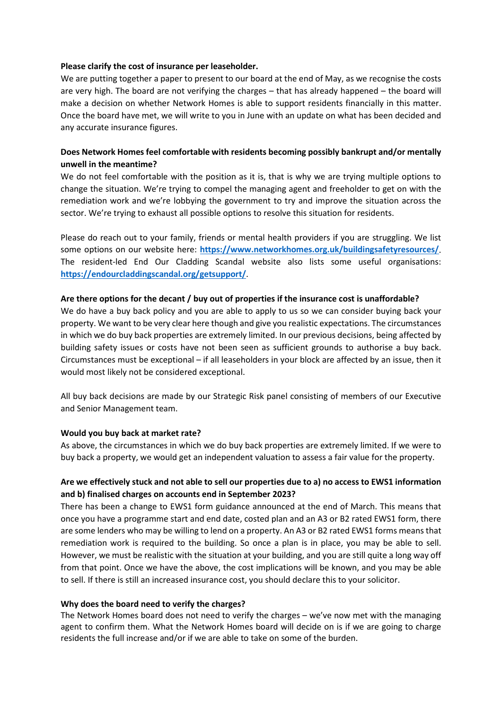#### **Please clarify the cost of insurance per leaseholder.**

We are putting together a paper to present to our board at the end of May, as we recognise the costs are very high. The board are not verifying the charges – that has already happened – the board will make a decision on whether Network Homes is able to support residents financially in this matter. Once the board have met, we will write to you in June with an update on what has been decided and any accurate insurance figures.

## **Does Network Homes feel comfortable with residents becoming possibly bankrupt and/or mentally unwell in the meantime?**

We do not feel comfortable with the position as it is, that is why we are trying multiple options to change the situation. We're trying to compel the managing agent and freeholder to get on with the remediation work and we're lobbying the government to try and improve the situation across the sector. We're trying to exhaust all possible options to resolve this situation for residents.

Please do reach out to your family, friends or mental health providers if you are struggling. We list some options on our website here: **<https://www.networkhomes.org.uk/buildingsafetyresources/>**. The resident-led End Our Cladding Scandal website also lists some useful organisations: **<https://endourcladdingscandal.org/getsupport/>**.

#### **Are there options for the decant / buy out of properties if the insurance cost is unaffordable?**

We do have a buy back policy and you are able to apply to us so we can consider buying back your property. We want to be very clear here though and give you realistic expectations. The circumstances in which we do buy back properties are extremely limited. In our previous decisions, being affected by building safety issues or costs have not been seen as sufficient grounds to authorise a buy back. Circumstances must be exceptional – if all leaseholders in your block are affected by an issue, then it would most likely not be considered exceptional.

All buy back decisions are made by our Strategic Risk panel consisting of members of our Executive and Senior Management team.

#### **Would you buy back at market rate?**

As above, the circumstances in which we do buy back properties are extremely limited. If we were to buy back a property, we would get an independent valuation to assess a fair value for the property.

### **Are we effectively stuck and not able to sell our properties due to a) no access to EWS1 information and b) finalised charges on accounts end in September 2023?**

There has been a change to EWS1 form guidance announced at the end of March. This means that once you have a programme start and end date, costed plan and an A3 or B2 rated EWS1 form, there are some lenders who may be willing to lend on a property. An A3 or B2 rated EWS1 forms means that remediation work is required to the building. So once a plan is in place, you may be able to sell. However, we must be realistic with the situation at your building, and you are still quite a long way off from that point. Once we have the above, the cost implications will be known, and you may be able to sell. If there is still an increased insurance cost, you should declare this to your solicitor.

#### **Why does the board need to verify the charges?**

The Network Homes board does not need to verify the charges – we've now met with the managing agent to confirm them. What the Network Homes board will decide on is if we are going to charge residents the full increase and/or if we are able to take on some of the burden.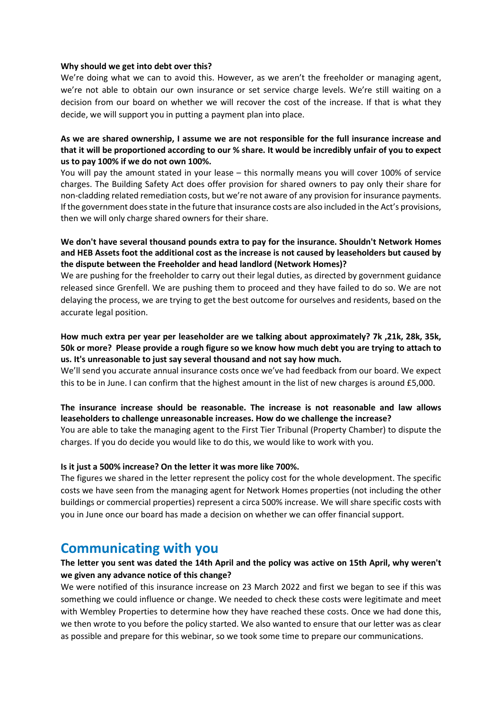#### **Why should we get into debt over this?**

We're doing what we can to avoid this. However, as we aren't the freeholder or managing agent, we're not able to obtain our own insurance or set service charge levels. We're still waiting on a decision from our board on whether we will recover the cost of the increase. If that is what they decide, we will support you in putting a payment plan into place.

#### **As we are shared ownership, I assume we are not responsible for the full insurance increase and that it will be proportioned according to our % share. It would be incredibly unfair of you to expect us to pay 100% if we do not own 100%.**

You will pay the amount stated in your lease – this normally means you will cover 100% of service charges. The Building Safety Act does offer provision for shared owners to pay only their share for non-cladding related remediation costs, but we're not aware of any provision for insurance payments. If the government does state in the future that insurance costs are also included in the Act's provisions, then we will only charge shared owners for their share.

#### **We don't have several thousand pounds extra to pay for the insurance. Shouldn't Network Homes and HEB Assets foot the additional cost as the increase is not caused by leaseholders but caused by the dispute between the Freeholder and head landlord (Network Homes)?**

We are pushing for the freeholder to carry out their legal duties, as directed by government guidance released since Grenfell. We are pushing them to proceed and they have failed to do so. We are not delaying the process, we are trying to get the best outcome for ourselves and residents, based on the accurate legal position.

#### **How much extra per year per leaseholder are we talking about approximately? 7k ,21k, 28k, 35k, 50k or more? Please provide a rough figure so we know how much debt you are trying to attach to us. It's unreasonable to just say several thousand and not say how much.**

We'll send you accurate annual insurance costs once we've had feedback from our board. We expect this to be in June. I can confirm that the highest amount in the list of new charges is around £5,000.

### **The insurance increase should be reasonable. The increase is not reasonable and law allows leaseholders to challenge unreasonable increases. How do we challenge the increase?**

You are able to take the managing agent to the First Tier Tribunal (Property Chamber) to dispute the charges. If you do decide you would like to do this, we would like to work with you.

#### **Is it just a 500% increase? On the letter it was more like 700%.**

The figures we shared in the letter represent the policy cost for the whole development. The specific costs we have seen from the managing agent for Network Homes properties (not including the other buildings or commercial properties) represent a circa 500% increase. We will share specific costs with you in June once our board has made a decision on whether we can offer financial support.

## **Communicating with you**

### **The letter you sent was dated the 14th April and the policy was active on 15th April, why weren't we given any advance notice of this change?**

We were notified of this insurance increase on 23 March 2022 and first we began to see if this was something we could influence or change. We needed to check these costs were legitimate and meet with Wembley Properties to determine how they have reached these costs. Once we had done this, we then wrote to you before the policy started. We also wanted to ensure that our letter was as clear as possible and prepare for this webinar, so we took some time to prepare our communications.